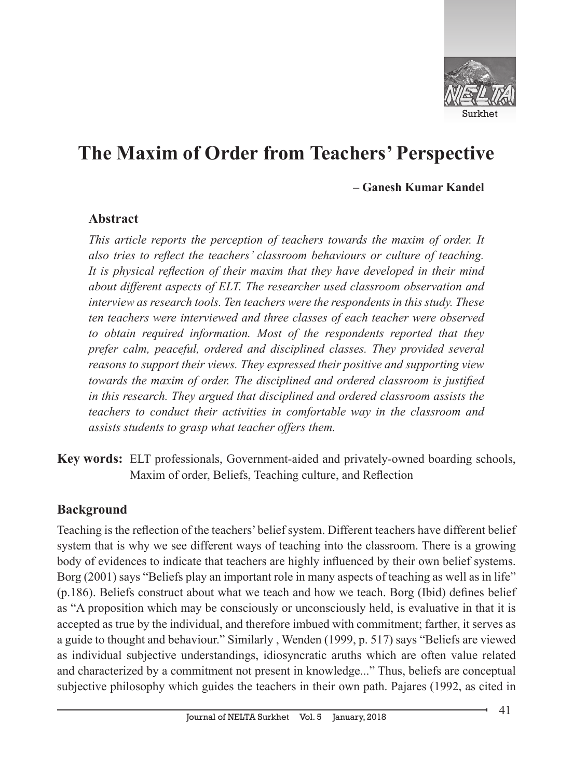

#### **– Ganesh Kumar Kandel**

#### **Abstract**

*This article reports the perception of teachers towards the maxim of order. It also tries to reflect the teachers' classroom behaviours or culture of teaching. It is physical reflection of their maxim that they have developed in their mind about different aspects of ELT. The researcher used classroom observation and interview as research tools. Ten teachers were the respondents in this study. These ten teachers were interviewed and three classes of each teacher were observed to obtain required information. Most of the respondents reported that they prefer calm, peaceful, ordered and disciplined classes. They provided several reasons to support their views. They expressed their positive and supporting view towards the maxim of order. The disciplined and ordered classroom is justified in this research. They argued that disciplined and ordered classroom assists the teachers to conduct their activities in comfortable way in the classroom and assists students to grasp what teacher offers them.*

**Key words:** ELT professionals, Government-aided and privately-owned boarding schools, Maxim of order, Beliefs, Teaching culture, and Reflection

### **Background**

Teaching is the reflection of the teachers' belief system. Different teachers have different belief system that is why we see different ways of teaching into the classroom. There is a growing body of evidences to indicate that teachers are highly influenced by their own belief systems. Borg (2001) says "Beliefs play an important role in many aspects of teaching as well as in life" (p.186). Beliefs construct about what we teach and how we teach. Borg (Ibid) defines belief as "A proposition which may be consciously or unconsciously held, is evaluative in that it is accepted as true by the individual, and therefore imbued with commitment; farther, it serves as a guide to thought and behaviour." Similarly , Wenden (1999, p. 517) says "Beliefs are viewed as individual subjective understandings, idiosyncratic aruths which are often value related and characterized by a commitment not present in knowledge..." Thus, beliefs are conceptual subjective philosophy which guides the teachers in their own path. Pajares (1992, as cited in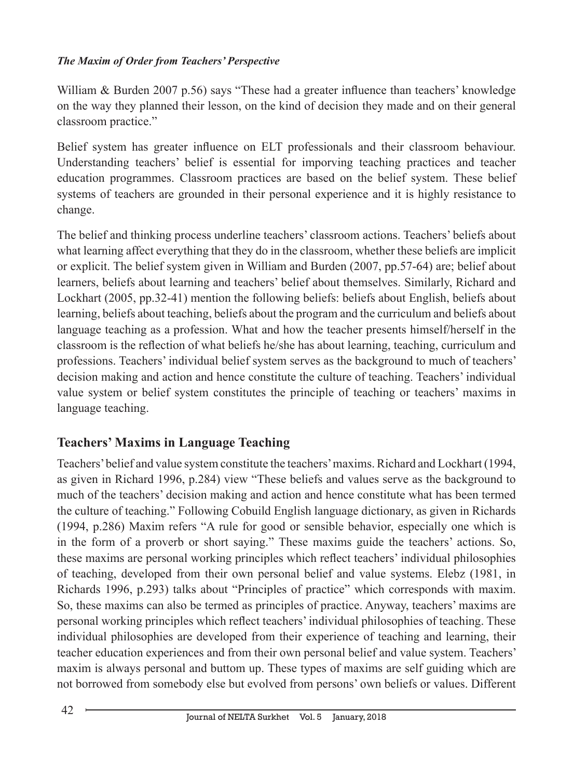William & Burden 2007 p.56) says "These had a greater influence than teachers' knowledge on the way they planned their lesson, on the kind of decision they made and on their general classroom practice."

Belief system has greater influence on ELT professionals and their classroom behaviour. Understanding teachers' belief is essential for imporving teaching practices and teacher education programmes. Classroom practices are based on the belief system. These belief systems of teachers are grounded in their personal experience and it is highly resistance to change.

The belief and thinking process underline teachers' classroom actions. Teachers' beliefs about what learning affect everything that they do in the classroom, whether these beliefs are implicit or explicit. The belief system given in William and Burden (2007, pp.57-64) are; belief about learners, beliefs about learning and teachers' belief about themselves. Similarly, Richard and Lockhart (2005, pp.32-41) mention the following beliefs: beliefs about English, beliefs about learning, beliefs about teaching, beliefs about the program and the curriculum and beliefs about language teaching as a profession. What and how the teacher presents himself/herself in the classroom is the reflection of what beliefs he/she has about learning, teaching, curriculum and professions. Teachers' individual belief system serves as the background to much of teachers' decision making and action and hence constitute the culture of teaching. Teachers' individual value system or belief system constitutes the principle of teaching or teachers' maxims in language teaching.

# **Teachers' Maxims in Language Teaching**

Teachers' belief and value system constitute the teachers' maxims. Richard and Lockhart (1994, as given in Richard 1996, p.284) view "These beliefs and values serve as the background to much of the teachers' decision making and action and hence constitute what has been termed the culture of teaching." Following Cobuild English language dictionary, as given in Richards (1994, p.286) Maxim refers "A rule for good or sensible behavior, especially one which is in the form of a proverb or short saying." These maxims guide the teachers' actions. So, these maxims are personal working principles which reflect teachers' individual philosophies of teaching, developed from their own personal belief and value systems. Elebz (1981, in Richards 1996, p.293) talks about "Principles of practice" which corresponds with maxim. So, these maxims can also be termed as principles of practice. Anyway, teachers' maxims are personal working principles which reflect teachers' individual philosophies of teaching. These individual philosophies are developed from their experience of teaching and learning, their teacher education experiences and from their own personal belief and value system. Teachers' maxim is always personal and buttom up. These types of maxims are self guiding which are not borrowed from somebody else but evolved from persons' own beliefs or values. Different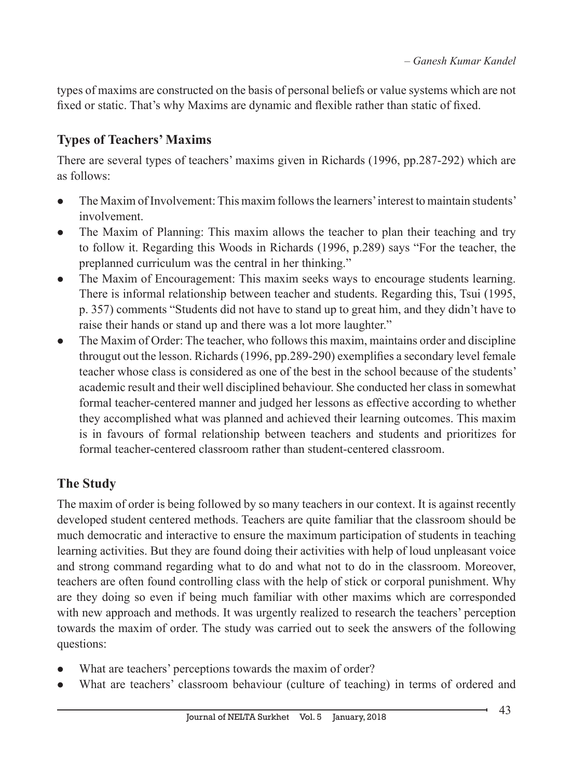types of maxims are constructed on the basis of personal beliefs or value systems which are not fixed or static. That's why Maxims are dynamic and flexible rather than static of fixed.

# **Types of Teachers' Maxims**

There are several types of teachers' maxims given in Richards (1996, pp.287-292) which are as follows:

- l The Maxim of Involvement: This maxim follows the learners' interest to maintain students' involvement.
- The Maxim of Planning: This maxim allows the teacher to plan their teaching and try to follow it. Regarding this Woods in Richards (1996, p.289) says "For the teacher, the preplanned curriculum was the central in her thinking."
- The Maxim of Encouragement: This maxim seeks ways to encourage students learning. There is informal relationship between teacher and students. Regarding this, Tsui (1995, p. 357) comments "Students did not have to stand up to great him, and they didn't have to raise their hands or stand up and there was a lot more laughter."
- $\bullet$  The Maxim of Order: The teacher, who follows this maxim, maintains order and discipline througut out the lesson. Richards (1996, pp.289-290) exemplifies a secondary level female teacher whose class is considered as one of the best in the school because of the students' academic result and their well disciplined behaviour. She conducted her class in somewhat formal teacher-centered manner and judged her lessons as effective according to whether they accomplished what was planned and achieved their learning outcomes. This maxim is in favours of formal relationship between teachers and students and prioritizes for formal teacher-centered classroom rather than student-centered classroom.

# **The Study**

The maxim of order is being followed by so many teachers in our context. It is against recently developed student centered methods. Teachers are quite familiar that the classroom should be much democratic and interactive to ensure the maximum participation of students in teaching learning activities. But they are found doing their activities with help of loud unpleasant voice and strong command regarding what to do and what not to do in the classroom. Moreover, teachers are often found controlling class with the help of stick or corporal punishment. Why are they doing so even if being much familiar with other maxims which are corresponded with new approach and methods. It was urgently realized to research the teachers' perception towards the maxim of order. The study was carried out to seek the answers of the following questions:

- What are teachers' perceptions towards the maxim of order?
- What are teachers' classroom behaviour (culture of teaching) in terms of ordered and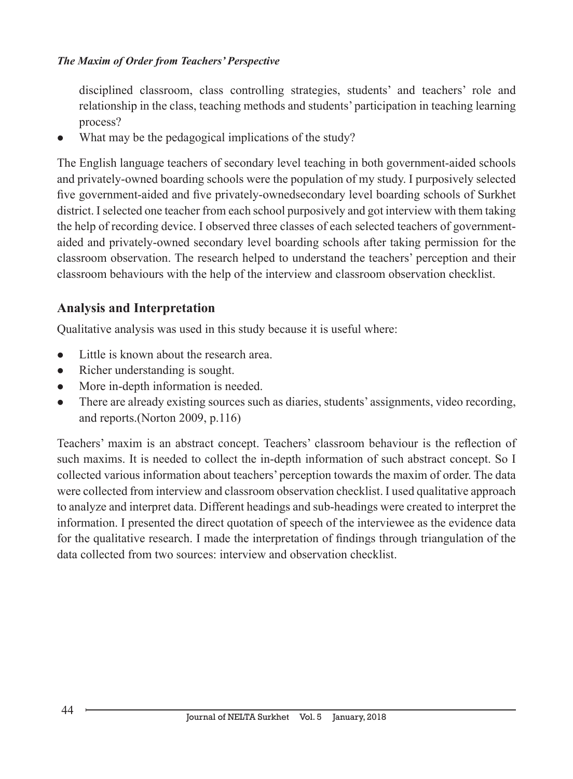disciplined classroom, class controlling strategies, students' and teachers' role and relationship in the class, teaching methods and students' participation in teaching learning process?

What may be the pedagogical implications of the study?

The English language teachers of secondary level teaching in both government-aided schools and privately-owned boarding schools were the population of my study. I purposively selected five government-aided and five privately-ownedsecondary level boarding schools of Surkhet district. I selected one teacher from each school purposively and got interview with them taking the help of recording device. I observed three classes of each selected teachers of governmentaided and privately-owned secondary level boarding schools after taking permission for the classroom observation. The research helped to understand the teachers' perception and their classroom behaviours with the help of the interview and classroom observation checklist.

### **Analysis and Interpretation**

Qualitative analysis was used in this study because it is useful where:

- $\bullet$  Little is known about the research area.
- $\bullet$  Richer understanding is sought.
- More in-depth information is needed.
- There are already existing sources such as diaries, students' assignments, video recording, and reports.(Norton 2009, p.116)

Teachers' maxim is an abstract concept. Teachers' classroom behaviour is the reflection of such maxims. It is needed to collect the in-depth information of such abstract concept. So I collected various information about teachers' perception towards the maxim of order. The data were collected from interview and classroom observation checklist. I used qualitative approach to analyze and interpret data. Different headings and sub-headings were created to interpret the information. I presented the direct quotation of speech of the interviewee as the evidence data for the qualitative research. I made the interpretation of findings through triangulation of the data collected from two sources: interview and observation checklist.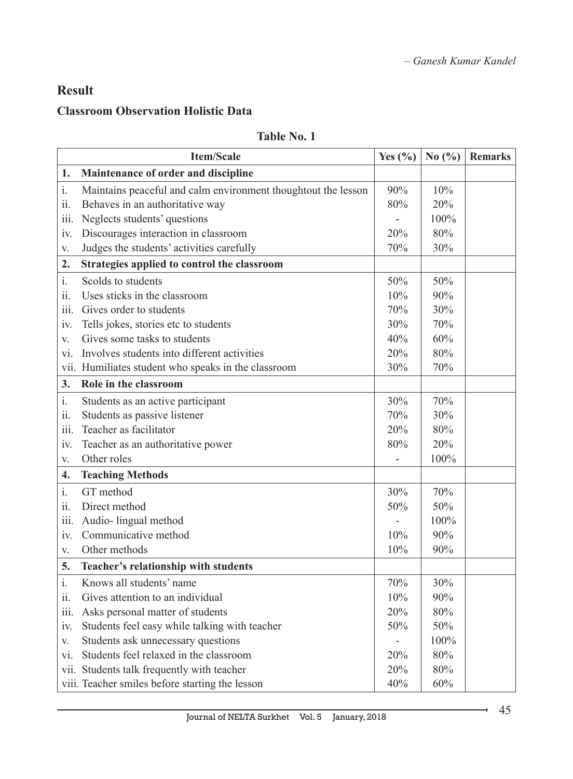# **Result**

### **Classroom Observation Holistic Data**

#### **Table No. 1**

|                  | <b>Item/Scale</b>                                             | Yes $(\% )$    | No $(\% )$ | <b>Remarks</b> |
|------------------|---------------------------------------------------------------|----------------|------------|----------------|
| 1.               | Maintenance of order and discipline                           |                |            |                |
| $\mathbf{i}$ .   | Maintains peaceful and calm environment thoughtout the lesson | 90%            | 10%        |                |
| ii.              | Behaves in an authoritative way                               | 80%            | 20%        |                |
| iii.             | Neglects students' questions                                  |                | 100%       |                |
| iv.              | Discourages interaction in classroom                          | 20%            | 80%        |                |
| V.               | Judges the students' activities carefully                     | 70%            | 30%        |                |
| 2.               | Strategies applied to control the classroom                   |                |            |                |
| $i$ .            | Scolds to students                                            | 50%            | 50%        |                |
| ii.              | Uses sticks in the classroom                                  | 10%            | 90%        |                |
| iii.             | Gives order to students                                       | 70%            | 30%        |                |
| iv.              | Tells jokes, stories etc to students                          | 30%            | 70%        |                |
| V.               | Gives some tasks to students                                  | 40%            | 60%        |                |
| vi.              | Involves students into different activities                   | 20%            | 80%        |                |
|                  | vii. Humiliates student who speaks in the classroom           | 30%            | 70%        |                |
| 3.               | Role in the classroom                                         |                |            |                |
| $i$ .            | Students as an active participant                             | 30%            | 70%        |                |
| ii.              | Students as passive listener                                  | 70%            | 30%        |                |
| iii.             | Teacher as facilitator                                        | 20%            | 80%        |                |
| iv.              | Teacher as an authoritative power                             | 80%            | 20%        |                |
| V.               | Other roles                                                   |                | 100%       |                |
| $\overline{4}$ . | <b>Teaching Methods</b>                                       |                |            |                |
| $i$ .            | GT method                                                     | 30%            | 70%        |                |
| ii.              | Direct method                                                 | 50%            | 50%        |                |
| iii.             | Audio-lingual method                                          |                | 100%       |                |
| iv.              | Communicative method                                          | 10%            | 90%        |                |
| V.               | Other methods                                                 | 10%            | 90%        |                |
| 5.               | Teacher's relationship with students                          |                |            |                |
| $i$ .            | Knows all students' name                                      | 70%            | 30%        |                |
| ii.              | Gives attention to an individual                              | 10%            | 90%        |                |
| iii.             | Asks personal matter of students                              | 20%            | 80%        |                |
| iv.              | Students feel easy while talking with teacher                 | 50%            | 50%        |                |
| V.               | Students ask unnecessary questions                            | $\overline{a}$ | 100%       |                |
| vi.              | Students feel relaxed in the classroom                        | 20%            | 80%        |                |
|                  | vii. Students talk frequently with teacher                    | 20%            | 80%        |                |
|                  | viii. Teacher smiles before starting the lesson               | 40%            | 60%        |                |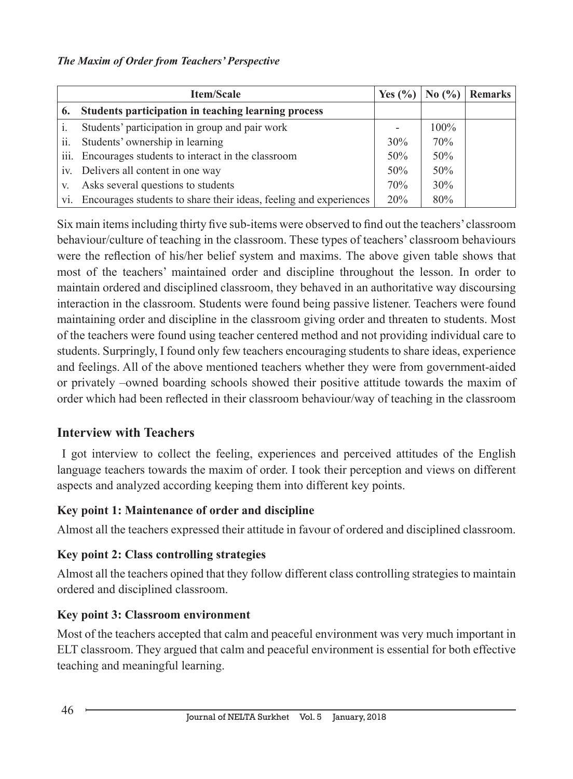| <b>Item/Scale</b> |                                                                   | Yes $(\%$ | No $(\% )$ | <b>Remarks</b> |
|-------------------|-------------------------------------------------------------------|-----------|------------|----------------|
| 6.                | Students participation in teaching learning process               |           |            |                |
|                   | Students' participation in group and pair work                    |           | $100\%$    |                |
| ii.               | Students' ownership in learning                                   | 30%       | 70%        |                |
| 111.              | Encourages students to interact in the classroom                  | 50%       | 50%        |                |
|                   | iv. Delivers all content in one way                               | 50%       | 50%        |                |
| V.                | Asks several questions to students                                | 70%       | 30%        |                |
| V1.               | Encourages students to share their ideas, feeling and experiences | 20%       | 80%        |                |

Six main items including thirty five sub-items were observed to find out the teachers' classroom behaviour/culture of teaching in the classroom. These types of teachers' classroom behaviours were the reflection of his/her belief system and maxims. The above given table shows that most of the teachers' maintained order and discipline throughout the lesson. In order to maintain ordered and disciplined classroom, they behaved in an authoritative way discoursing interaction in the classroom. Students were found being passive listener. Teachers were found maintaining order and discipline in the classroom giving order and threaten to students. Most of the teachers were found using teacher centered method and not providing individual care to students. Surpringly, I found only few teachers encouraging students to share ideas, experience and feelings. All of the above mentioned teachers whether they were from government-aided or privately –owned boarding schools showed their positive attitude towards the maxim of order which had been reflected in their classroom behaviour/way of teaching in the classroom

### **Interview with Teachers**

 I got interview to collect the feeling, experiences and perceived attitudes of the English language teachers towards the maxim of order. I took their perception and views on different aspects and analyzed according keeping them into different key points.

### **Key point 1: Maintenance of order and discipline**

Almost all the teachers expressed their attitude in favour of ordered and disciplined classroom.

### **Key point 2: Class controlling strategies**

Almost all the teachers opined that they follow different class controlling strategies to maintain ordered and disciplined classroom.

### **Key point 3: Classroom environment**

Most of the teachers accepted that calm and peaceful environment was very much important in ELT classroom. They argued that calm and peaceful environment is essential for both effective teaching and meaningful learning.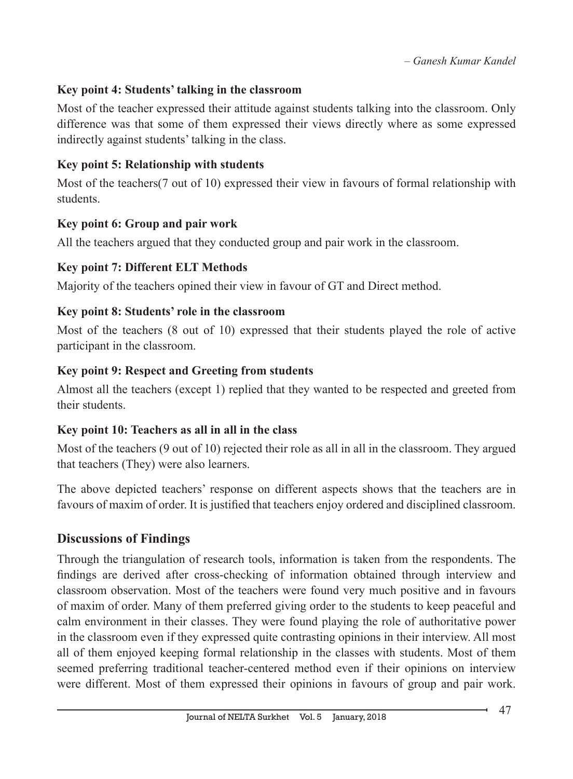### **Key point 4: Students' talking in the classroom**

Most of the teacher expressed their attitude against students talking into the classroom. Only difference was that some of them expressed their views directly where as some expressed indirectly against students' talking in the class.

### **Key point 5: Relationship with students**

Most of the teachers(7 out of 10) expressed their view in favours of formal relationship with students.

### **Key point 6: Group and pair work**

All the teachers argued that they conducted group and pair work in the classroom.

### **Key point 7: Different ELT Methods**

Majority of the teachers opined their view in favour of GT and Direct method.

### **Key point 8: Students' role in the classroom**

Most of the teachers (8 out of 10) expressed that their students played the role of active participant in the classroom.

### **Key point 9: Respect and Greeting from students**

Almost all the teachers (except 1) replied that they wanted to be respected and greeted from their students.

### **Key point 10: Teachers as all in all in the class**

Most of the teachers (9 out of 10) rejected their role as all in all in the classroom. They argued that teachers (They) were also learners.

The above depicted teachers' response on different aspects shows that the teachers are in favours of maxim of order. It is justified that teachers enjoy ordered and disciplined classroom.

### **Discussions of Findings**

Through the triangulation of research tools, information is taken from the respondents. The findings are derived after cross-checking of information obtained through interview and classroom observation. Most of the teachers were found very much positive and in favours of maxim of order. Many of them preferred giving order to the students to keep peaceful and calm environment in their classes. They were found playing the role of authoritative power in the classroom even if they expressed quite contrasting opinions in their interview. All most all of them enjoyed keeping formal relationship in the classes with students. Most of them seemed preferring traditional teacher-centered method even if their opinions on interview were different. Most of them expressed their opinions in favours of group and pair work.